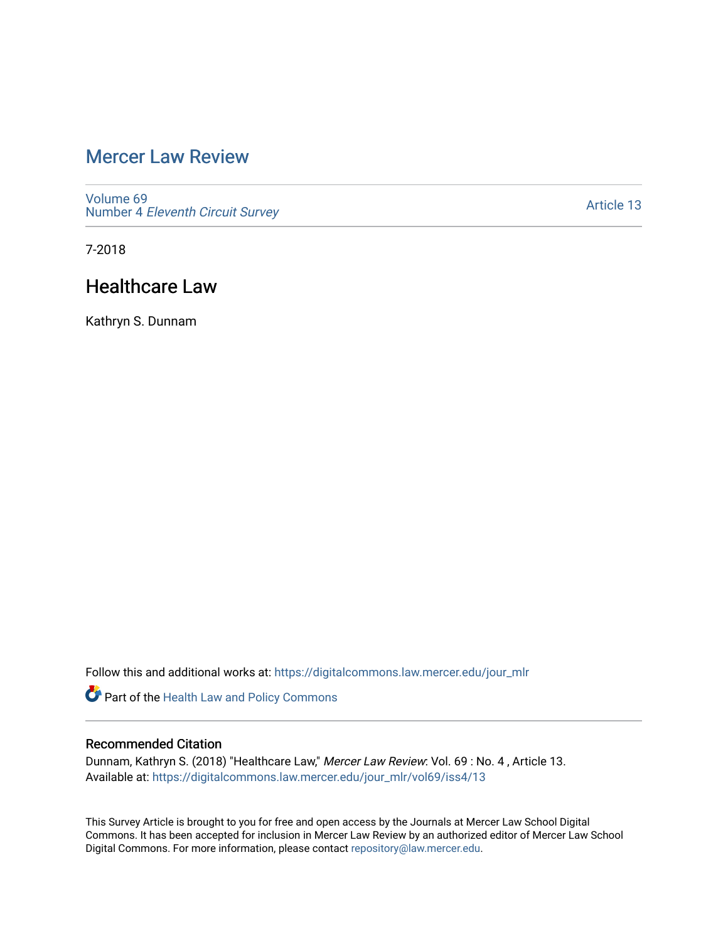# [Mercer Law Review](https://digitalcommons.law.mercer.edu/jour_mlr)

[Volume 69](https://digitalcommons.law.mercer.edu/jour_mlr/vol69) Number 4 [Eleventh Circuit Survey](https://digitalcommons.law.mercer.edu/jour_mlr/vol69/iss4) 

[Article 13](https://digitalcommons.law.mercer.edu/jour_mlr/vol69/iss4/13) 

7-2018

# Healthcare Law

Kathryn S. Dunnam

Follow this and additional works at: [https://digitalcommons.law.mercer.edu/jour\\_mlr](https://digitalcommons.law.mercer.edu/jour_mlr?utm_source=digitalcommons.law.mercer.edu%2Fjour_mlr%2Fvol69%2Fiss4%2F13&utm_medium=PDF&utm_campaign=PDFCoverPages)

Part of the [Health Law and Policy Commons](http://network.bepress.com/hgg/discipline/901?utm_source=digitalcommons.law.mercer.edu%2Fjour_mlr%2Fvol69%2Fiss4%2F13&utm_medium=PDF&utm_campaign=PDFCoverPages) 

# Recommended Citation

Dunnam, Kathryn S. (2018) "Healthcare Law," Mercer Law Review: Vol. 69 : No. 4 , Article 13. Available at: [https://digitalcommons.law.mercer.edu/jour\\_mlr/vol69/iss4/13](https://digitalcommons.law.mercer.edu/jour_mlr/vol69/iss4/13?utm_source=digitalcommons.law.mercer.edu%2Fjour_mlr%2Fvol69%2Fiss4%2F13&utm_medium=PDF&utm_campaign=PDFCoverPages) 

This Survey Article is brought to you for free and open access by the Journals at Mercer Law School Digital Commons. It has been accepted for inclusion in Mercer Law Review by an authorized editor of Mercer Law School Digital Commons. For more information, please contact [repository@law.mercer.edu](mailto:repository@law.mercer.edu).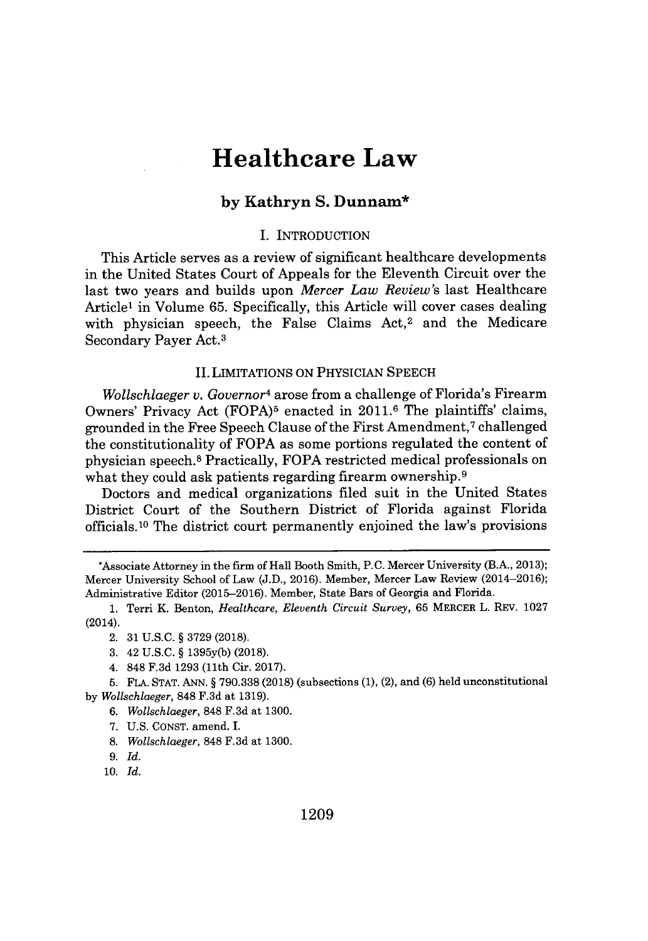# **Healthcare Law**

# **by Kathryn S. Dunnam\***

#### **I.** INTRODUCTION

This Article serves as a review of significant healthcare developments in the United States Court of Appeals for the Eleventh Circuit over the last two years and builds upon *Mercer Law Review's* last Healthcare Article' in Volume **65.** Specifically, this Article will cover cases dealing with physician speech, the False Claims Act, $2$  and the Medicare Secondary Payer Act.<sup>3</sup>

## II. *LIMITATIONS ON* PHYSICIAN **SPEECH**

*Wollschlaeger v. Governor<sup>4</sup>*arose from a challenge of Florida's Firearm Owners' Privacy Act **(FOPA)<sup>5</sup>**enacted in **2011.6** The plaintiffs' claims, grounded in the Free Speech Clause of the First Amendment,<sup>7</sup>challenged the constitutionality of FOPA as some portions regulated the content of physician speech.<sup>8</sup> Practically, FOPA restricted medical professionals on what they could ask patients regarding firearm ownership.<sup>9</sup>

Doctors and medical organizations filed suit in the United States District Court of the Southern District of Florida against Florida officials. <sup>10</sup>The district court permanently enjoined the law's provisions

- *6. Wollschlaeger,* **848 F.3d** at **1300.**
- **7. U.S. CONST.** amend. I.
- **8.** *Wollschlaeger,* **848 F.3d** at **1300.**
- **9.** *Id.*
- 10. *Id.*

<sup>\*</sup>Associate Attorney in the firm of Hall Booth Smith, **P.C.** Mercer University (B.A., **2013);** Mercer University School of Law **(J.D., 2016).** Member, Mercer Law Review (2014-2016); Administrative Editor **(2015-2016).** Member, State Bars of Georgia and Florida.

**<sup>1.</sup>** Terri K. Benton, *Healthcare, Eleventh Circuit Survey,* **65** MERCER L. REV. **1027** (2014).

<sup>2.</sup> **31 U.S.C. § 3729 (2018).**

**<sup>3.</sup>** 42 **U.S.C. § 1395y(b) (2018).**

<sup>4.</sup> **848 F.3d 1293** (11th Cir. **2017).**

**<sup>5.</sup> FLA. STAT. ANN. § 790.338 (2018)** (subsections **(1),** (2), and **(6)** held unconstitutional *by Wollschlaeger,* **848 F.3d** at **1319).**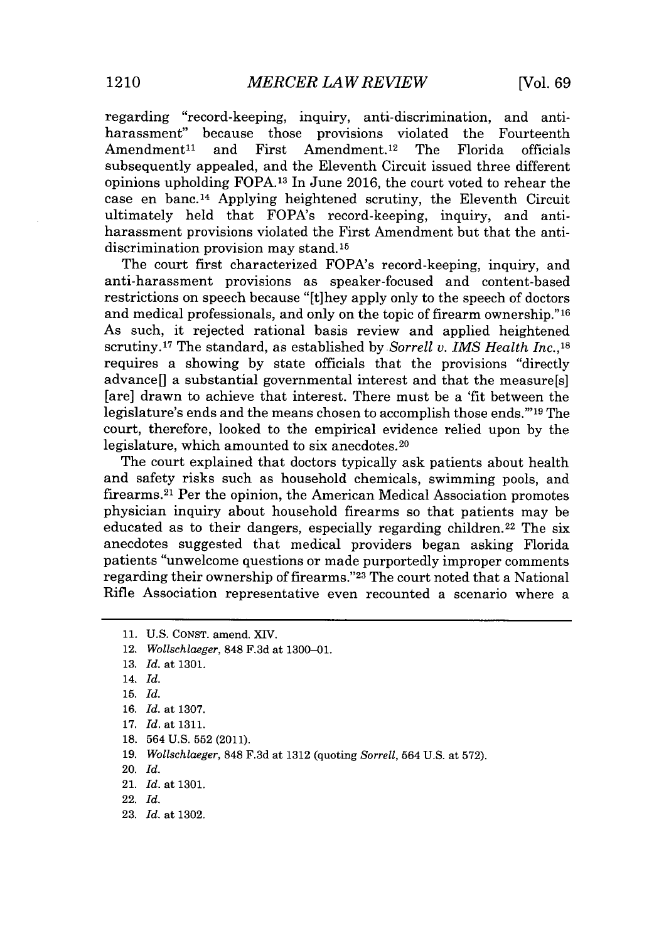regarding "record-keeping, inquiry, anti- discrimination, and antiharassment" because those provisions violated the Fourteenth  $A$ mendment<sup>11</sup> and First Amendment.<sup>12</sup> The Florida officials subsequently appealed, and the Eleventh Circuit issued three different opinions upholding **FOPA.13** In June **2016,** the court voted to rehear the case en banc.<sup>14</sup> Applying heightened scrutiny, the Eleventh Circuit ultimately held that FOPA's record-keeping, inquiry, and antiharassment provisions violated the First Amendment but that the antidiscrimination provision may stand. **<sup>15</sup>**

The court *first* characterized FOPA's record-keeping, inquiry, and anti-harassment provisions as speaker-focused and content-based restrictions on speech because "[t]hey apply only to the speech of doctors and medical professionals, and only on the topic of firearm ownership."<sup>16</sup> As such, it rejected rational basis review and applied heightened scrutiny. 17The standard, as established **by** *Sorrell v. IMS Health Inc.,<sup>18</sup>* requires a showing **by** state officials that the provisions "directly advance[] a substantial governmental interest and that the measure[s] [are] drawn to achieve that interest. There must be a 'fit between the legislature's ends and the means chosen to accomplish those ends."<sup>19</sup> The court, therefore, looked to the empirical evidence relied upon **by** the legislature, which amounted to six anecdotes. <sup>20</sup>

The court explained that doctors typically ask patients about health and safety risks such as household chemicals, swimming pools, and firearms.<sup>21</sup> Per the opinion, the American Medical Association promotes physician inquiry about household firearms so that patients may be educated as to their dangers, especially regarding children.<sup>22</sup> The six anecdotes suggested that medical providers began asking Florida patients "unwelcome questions or made purportedly improper comments regarding their ownership of firearms."<sup>23</sup> The court noted that a National Rifle Association representative even recounted a scenario where a

- 12. *Wollschlaeger,* **848 F.3d** at **1300-01.**
- **13.** *Id.* at **1301.**
- 14. *Id.*
- **15.** *Id.*
- **16.** *Id.* at **1307.**
- **17.** *Id.* at **1311.**
- **18.** 564 **U.S. 552** (2011).
- **19.** *Wollschlaeger,* **848 F.3d** at **1312** (quoting *Sorrell,* 564 **U.S.** at **572).**
- 20. *Id.*
- 21. *Id.* at **1301.**
- 22. *Id.*
- **23.** *Id.* at **1302.**

**<sup>11.</sup> U.S. CONST.** amend. XIV.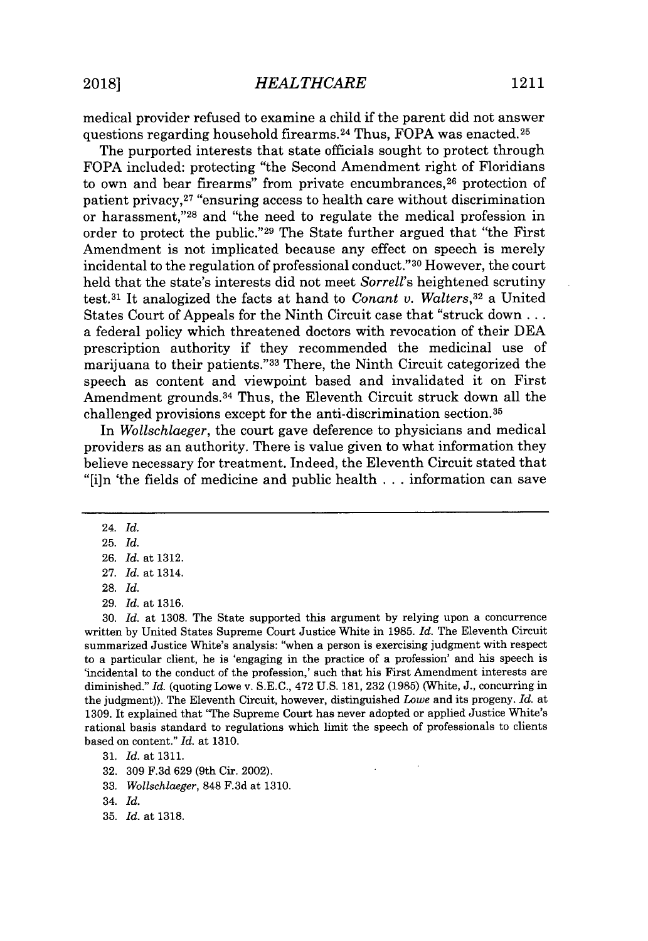medical provider refused to examine a child if the parent did not answer questions regarding household firearms. <sup>24</sup>Thus, FOPA was enacted. <sup>25</sup>

The purported interests that state officials sought to protect through FOPA included: protecting "the Second Amendment right of Floridians to own and bear firearms" from private encumbrances, $26$  protection of patient privacy,<sup>27</sup> "ensuring access to health care without discrimination or harassment," $^{28}$  and "the need to regulate the medical profession in order to protect the public."<sup>29</sup> The State further argued that "the First Amendment is not implicated because any effect on speech is merely incidental to the regulation of professional conduct."<sup>30</sup> However, the court held that the state's interests did not meet *Sorrell's* heightened scrutiny test.<sup>3</sup> <sup>1</sup>It analogized the facts at hand to *Conant v. Walters,<sup>32</sup>*a United States Court of Appeals for the Ninth Circuit case that "struck down **...** a federal policy which threatened doctors with revocation of their **DEA** prescription authority if they recommended the medicinal use of marijuana to their patients."<sup>33</sup> There, the Ninth Circuit categorized the speech as content and viewpoint based and invalidated it on First Amendment grounds.<sup>34</sup> Thus, the Eleventh Circuit struck down all the challenged provisions except for the anti-discrimination section. <sup>35</sup>

*In Wollschlaeger,* the court gave deference to physicians and medical providers as an authority. There is value given to what information they believe necessary for treatment. Indeed, the Eleventh Circuit stated that "[i]n 'the fields of medicine and public health **. ..** information can save

24. *Id.*

**28.** *Id.*

**29.** *Id.* at **1316.**

**30.** *Id.* at **1308.** The State supported this argument **by** relying upon a concurrence written **by** United States Supreme Court Justice White in **1985.** *Id.* The Eleventh Circuit summarized Justice White's analysis: "when a person is exercising judgment with respect to a particular client, he is 'engaging in the practice of a profession' and his speech is 'incidental to the conduct of the profession,' such that his First Amendment interests are diminished." *Id.* (quoting Lowe v. **S.E.C.,** 472 **U.S. 181, 232 (1985)** (White, **J.,** concurring in the judgment)). The Eleventh Circuit, however, distinguished *Lowe* and its progeny. *Id.* at **1309.** It explained that 'The Supreme Court has never adopted or applied Justice White's rational basis standard to regulations which limit the speech of professionals to clients based on content." *Id.* at **1310.**

- **32. 309 F.3d 629** (9th Cir. 2002).
- **33.** *Wollschlaeger,* **848 F.3d** at **1310.**

**<sup>25.</sup>** *Id.*

**<sup>26.</sup>** *Id.* at **1312.**

**<sup>27.</sup>** *Id.* at 1314.

**<sup>31.</sup>** *Id.* at **1311.**

<sup>34.</sup> *Id.*

**<sup>35.</sup>** *Id.* at **1318.**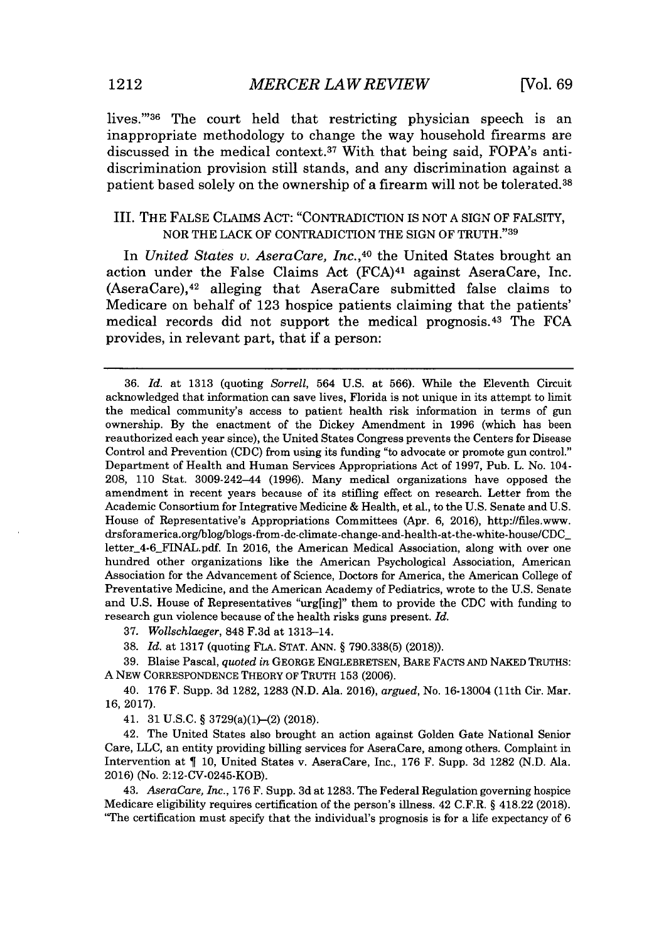lives."36 The court held that restricting physician speech is an inappropriate methodology to change the way household firearms are discussed in the medical context.<sup>37</sup>With that being said, FOPA's antidiscrimination provision still stands, and any discrimination against a patient based solely on the ownership of a firearm will not be tolerated. <sup>38</sup>

## III. THE **FALSE** CLAIMS **ACT:** "CONTRADICTION IS **NOT A** *SIGN* OF FALSITY, NOR THE LACK OF CONTRADICTION THE SIGN OF TRUTH."39

In *United States v. AseraCare, Inc.,40* the United States brought an action under the False Claims Act  $(FCA)^{41}$  against AseraCare, Inc.  $(AseraCare),<sup>42</sup>$  alleging that AseraCare submitted false claims to Medicare on behalf of **123** hospice patients claiming that the patients' medical records did not support the medical prognosis.<sup>43</sup> The FCA provides, in relevant part, that if a person:

**37.** *Wollschlaeger,* **848 F.3d** at 1313-14.

**38.** *Id.* at **1317** (quoting **FLA. STAT. ANN.** *§* **790.338(5) (2018)).**

**39.** Blaise Pascal, *quoted in* **GEORGE ENGLEBRETSEN,** BARE FACTs **AND NAKED** TRUTHS: **A** NEW CORRESPONDENCE THEORY OF TRUTH **153 (2006).**

40. **176** F. Supp. **3d 1282, 1283 (N.D.** Ala. **2016),** *argued,* No. 16-13004 (11th Cir. Mar. **16, 2017).**

41. **31 U.S.C.** *§* 3729(a)(1)-(2) **(2018).**

42. The United States also brought an action against Golden Gate National Senior Care, **LLC,** an entity providing billing services for AseraCare, among others. Complaint in Intervention at *¶* **10,** United States v. AseraCare, Inc., **176** F. Supp. **3d 1282 (N.D.** Ala. **2016)** (No. 2:12-CV-0245-KOB).

43. *AseraCare, Inc.,* **176** F. Supp. **3d** at **1283.** The Federal Regulation governing hospice Medicare eligibility requires certification of the person's illness. 42 C.F.R. *§* 418.22 **(2018).** "The certification must specify that the individual's prognosis is for a life expectancy of **6**

**<sup>36.</sup>** *Id.* at **1313** (quoting *Sorrell,* 564 **U.S.** *at* **566).** While the Eleventh Circuit acknowledged that information can save lives, Florida is not unique in its attempt to limit the medical community's access to patient health risk information in terms of gun ownership. **By** the enactment of the Dickey Amendment in **1996** (which has been reauthorized each year since), the United States Congress prevents the Centers for Disease Control and Prevention **(CDC)** from using its funding "to advocate or promote gun control." Department of Health and Human Services Appropriations Act of **1997,** Pub. L. No. 104- **208, 110** Stat. 3009-242-44 **(1996).** Many medical organizations have opposed the amendment in recent years because of its stifling effect on research. Letter from the Academic Consortium for Integrative Medicine **&** Health, et al., to the **U.S.** Senate and **U.S.** House of Representative's Appropriations Committees (Apr. **6, 2016),** http://files.www. drsforamerica.org/blog/blogs-from-dc-climate-change-and-health-at-the-white-house/CDC letter\_4-6\_FINAL.pdf. In **2016,** the American Medical Association, along with over one hundred other organizations like the American Psychological Association, American Association for the Advancement of Science, Doctors for America, the American College of Preventative Medicine, and the American Academy of Pediatrics, wrote to the **U.S.** Senate and **U.S.** House of Representatives "urg[ing]" them to provide the **CDC** with funding to research gun violence because of the health risks guns present. *Id.*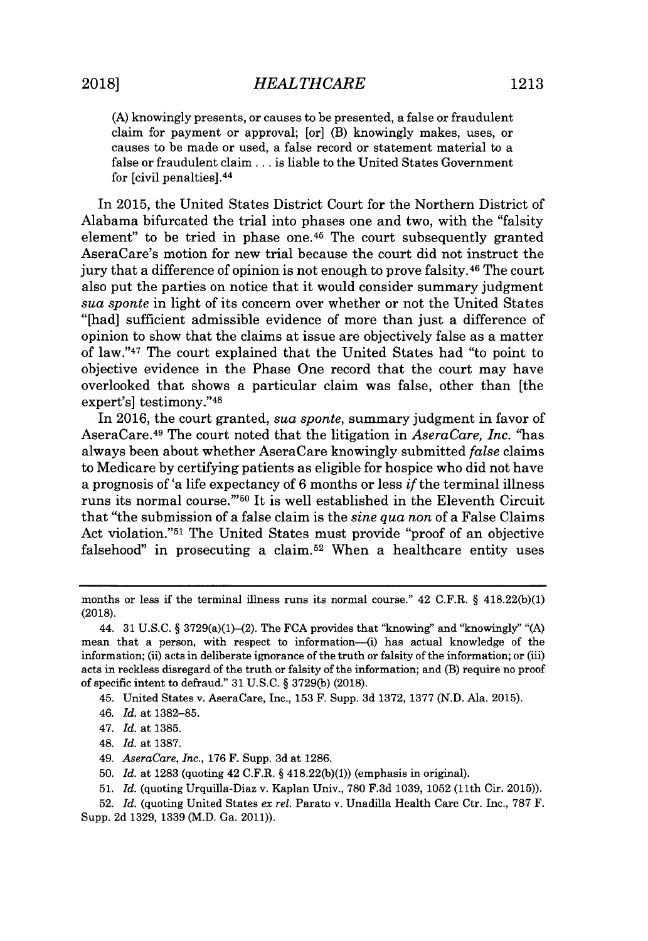In **2015,** the United States District Court for the Northern District of Alabama bifurcated the trial into phases one and two, with the "falsity element" to be tried in phase one. $45$  The court subsequently granted AseraCare's motion for new trial because the court did not instruct the jury that a difference of opinion is not enough to prove falsity. <sup>46</sup>The court also put the parties on notice that it would consider summary judgment *sua sponte* in light of its concern over whether or not the United States "[had] sufficient admissible evidence of more than just a difference of opinion to show that the claims at issue are objectively false as a matter of law."<sup>47</sup> The court explained that the United States had "to point to objective evidence in the Phase One record that the court may have overlooked that shows a particular claim was false, other than [the expert's] testimony."<sup>48</sup>

In **2016,** the court granted, *sua sponte,* summary judgment in favor of AseraCare. <sup>49</sup>The court noted that the litigation in *AseraCare, Inc.* "has always been about whether AseraCare knowingly submitted *false* claims to Medicare **by** certifying patients as eligible for hospice who did not have a prognosis of 'a life expectancy of **6** months or less *if* the terminal illness runs its normal course."'50 It is well established in the Eleventh Circuit that "the submission of a false claim is the *sine qua non* of a False Claims Act violation."<sup>51</sup> The United States must provide "proof of an objective falsehood" in prosecuting a claim.<sup>52</sup> When a healthcare entity uses

45. United States v. AseraCare, Inc., **153** F. Supp. **3d 1372, 1377 (N.D.** Ala. **2015).**

46. *Id.* at **1382-85.**

- 48. *Id.* at **1387.**
- 49. *AseraCare, Inc.,* **176** F. Supp. **3d** at **1286.**
- **50.** *Id.* at **1283** (quoting 42 C.F.R. **§ 418.22(b)(1))** (emphasis in original).
- **51.** *Id.* (quoting Urquilla-Diaz v. Kaplan Univ., **780 F.3d 1039, 1052** (11th Cir. **2015)).**

months or less if the terminal illness runs its normal course." 42 C.F.R. § 418.22(b)(1) **(2018).**

<sup>44.</sup> **31 U.S.C. §** 3729(a)(1)-(2). The **FCA** provides that "knowing" and "knowingly" **"(A)** mean that a person, with respect to information-(i) has actual knowledge of the information; (ii) acts in deliberate ignorance of the truth or falsity of the information; or (iii) acts in reckless disregard of the truth or falsity of the information; and (B) require no proof of specific intent to defraud." **31 U.S.C. § 3729(b) (2018).**

<sup>47.</sup> *Id.* at **1385.**

**<sup>52.</sup>** *Id.* (quoting United States *ex rel.* Parato v. Unadilla Health Care Ctr. Inc., **787** F. Supp. **2d 1329, 1339** (M.D. Ga. **2011)).**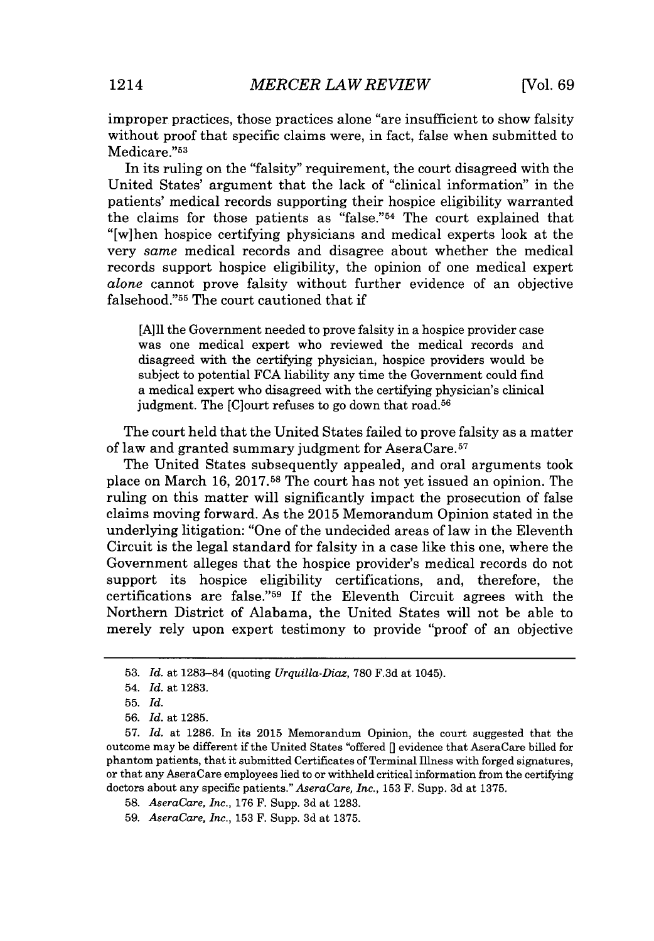improper practices, those practices alone "are insufficient to show falsity without proof that specific claims were, in fact, false when submitted to Medicare."53

In its ruling on the "falsity" requirement, the court disagreed with the United States' argument that the lack of "clinical information" in the patients' medical records supporting their hospice eligibility warranted the claims for those patients as "false." $54$  The court explained that "[wihen hospice certifying physicians and medical experts look at the very *same* medical records and disagree about whether the medical records support hospice eligibility, the opinion of one medical expert *alone* cannot prove falsity without further evidence of an objective falsehood."<sup>55</sup> The court cautioned that if

**[A]ll** the Government needed to prove falsity in a hospice provider case was one medical expert who reviewed the medical records and disagreed with the certifying physician, hospice providers would be subject to potential **FCA** liability any time the Government could find a medical expert who disagreed with the certifying physician's clinical judgment. The [C]ourt refuses to go down that road.<sup>56</sup>

The court held that the United States failed to prove falsity as a matter of law and granted summary judgment for AseraCare.<sup>57</sup>

The United States subsequently appealed, and oral arguments took place on March **16, 2017.58** The court has not yet issued an opinion. The ruling on this matter will significantly impact the prosecution of false claims moving forward. As the **2015** Memorandum Opinion stated in the underlying litigation: "One of the undecided areas of law in the Eleventh Circuit is the legal standard for falsity in a case like this one, where the Government alleges that the hospice provider's medical records do not support its hospice eligibility certifications, and, therefore, the certifications are false."<sup>59</sup> If the Eleventh Circuit agrees with the Northern District of Alabama, the United States will not be able to merely rely upon expert testimony to provide "proof of an objective

**<sup>53.</sup>** *Id.* at **1283-84** (quoting *Urquilla-Diaz,* **780 F.3d** at 1045).

<sup>54.</sup> *Id.* at **1283.**

**<sup>55.</sup>** *Id.*

**<sup>56.</sup>** *Id.* at **1285.**

**<sup>57.</sup>** *Id.* at **1286.** In its **2015** Memorandum Opinion, the court suggested that the outcome may be different if the United States "offered *[]* evidence that AseraCare billed *for* phantom patients, that it submitted Certificates of Terminal Illness with forged signatures, or that any AseraCare employees lied to or withheld critical information from the certifying doctors about any specific patients." *AseraCare, Inc.,* **153** F. Supp. **3d** at **1375.**

*<sup>58.</sup> AseraCare, Inc.,* **176** F. Supp. **3d** at **1283.**

*<sup>59.</sup> AseraCare, Inc.,* **153** F. Supp. **3d** at **1375.**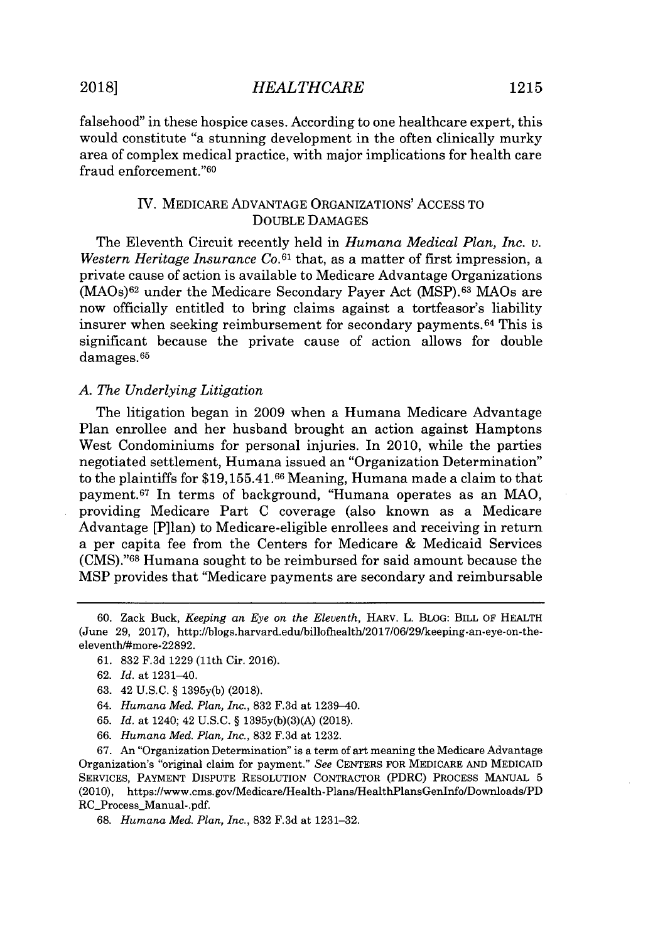# **2018]** *HEALTHCARE* **1215**

falsehood" in these hospice cases. According to one healthcare expert, this would constitute "a stunning development in the often clinically murky area of complex medical practice, with major implications for health care fraud enforcement."60

# IV. MEDICARE **ADVANTAGE** ORGANIZATIONs' ACCESS TO **DOUBLE DAMAGES**

The Eleventh Circuit recently held in *Humana Medical Plan, Inc. v. Western Heritage Insurance Co.61* that, as a matter of first impression, a private cause of action is available to Medicare Advantage Organizations (MAOs)62 under the Medicare Secondary Payer Act **(MSP).63** MAOs are now officially entitled to bring claims against a tortfeasor's liability insurer when seeking reimbursement for secondary payments. <sup>64</sup>This **is** significant because the private cause of action allows for double damages. <sup>65</sup>

## *A. The Underlying Litigation*

The litigation began in **2009** when a Humana Medicare Advantage Plan enrollee and her husband brought an action against Hamptons West Condominiums for personal injuries. In 2010, while the parties negotiated settlement, Humana issued an "Organization Determination" to the plaintiffs for \$19,155.41.66 Meaning, Humana made a claim to that payment.<sup>67</sup> In terms of background, "Humana operates as an MAO, providing Medicare Part **C** coverage (also known as a Medicare Advantage [P]lan) to Medicare-eligible enrollees and receiving in return a per capita fee from the Centers for Medicare **&** Medicaid Services **(CMS)."68** Humana sought to be reimbursed for said amount because the MSP provides that "Medicare payments are secondary and reimbursable

- **61. 832 F.3d 1229** (11th Cir. **2016).**
- **62.** *Id.* at 1231-40.
- **63.** 42 **U.S.C. § 1395y(b) (2018).**
- 64. *Humana Med. Plan, Inc.,* **832 F.3d** at 1239-40.
- **65.** *Id.* at 1240; 42 **U.S.C. § 1395y(b)(3)(A) (2018).**
- **66.** *Humana Med. Plan, Inc.,* **832 F.3d** at **1232.**

**67.** An "Organization Determination" is a term of art meaning the Medicare Advantage Organization's "original claim for payment." *See* **CENTERS** FOR MEDICARE **AND** MEDICAID **SERVICES,** PAYMENT **DISPUTE RESOLUTION** CONTRACTOR (PDRC) **PROCESS MANUAL 5** (2010), https://www.cms.gov/Medicare/Health-Plans/HealthPlansGenInfo/Downloads/PD RC\_Process\_Manual-.pdf.

**68.** *Humana Med. Plan, Inc.,* **832 F.3d** at **1231-32.**

**<sup>60.</sup>** Zack Buck, *Keeping an Eye on the Eleventh,* HARv. L. BLOG: BILL OF HEALTH (June **29, 2017),** http:/Iblogs.harvard.edu/billofhealth/2017/06/29/keeping-an-eye-on-theeleventh/#more-22892.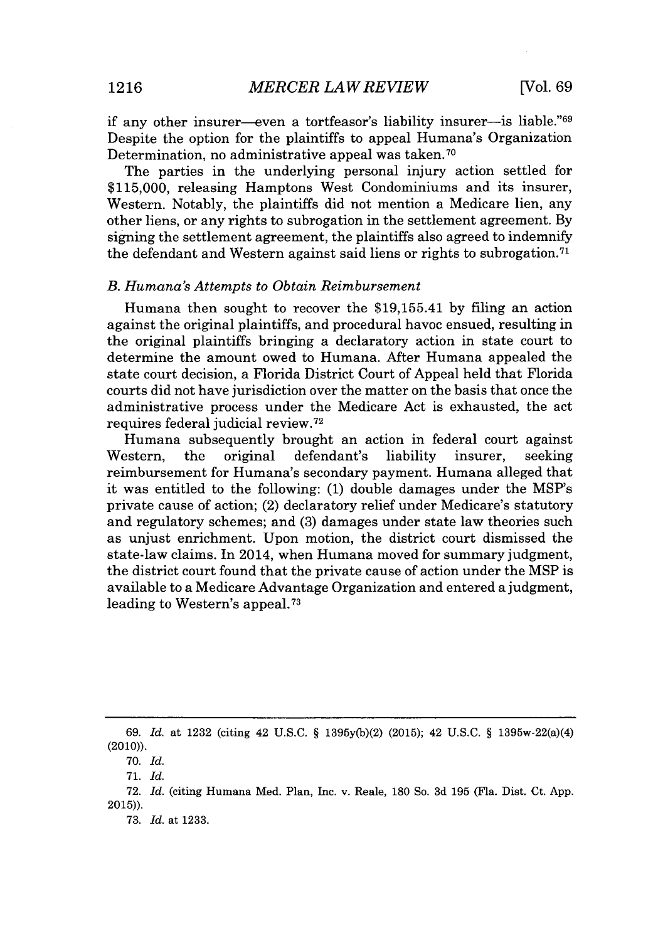if any other insurer-even a tortfeasor's liability insurer-is liable."<sup>69</sup> Despite the option for the plaintiffs to appeal Humana's Organization Determination, no administrative appeal was taken.<sup>70</sup>

The parties in the underlying personal injury action settled for **\$115,000,** releasing Hamptons West Condominiums and its insurer, Western. Notably, the plaintiffs did not mention a Medicare lien, any other liens, or any rights to subrogation in the settlement agreement. **By** signing the settlement agreement, the plaintiffs also agreed to indemnify the defendant and Western against said liens or rights to subrogation.<sup>71</sup>

#### *B. Humana's Attempts to Obtain Reimbursement*

Humana then sought to recover the \$19,155.41 **by** filing an action against the original plaintiffs, and procedural havoc ensued, resulting in the original plaintiffs bringing a declaratory action in state court to determine the amount owed to Humana. After Humana appealed the state court decision, a Florida District Court of Appeal held that Florida courts did not have jurisdiction over the matter on the basis that once the administrative process under the Medicare Act is exhausted, the act requires federal judicial review.<sup>72</sup>

Humana subsequently brought an action in federal court against Western, the original defendant's liability insurer, seeking reimbursement for Humana's secondary payment. Humana alleged that it was entitled to the following: **(1)** double damages under the MSP's private cause of action; (2) declaratory relief under Medicare's statutory and regulatory schemes; and **(3)** damages under state law theories such as unjust enrichment. Upon motion, the district court dismissed the state-law claims. In 2014, when Humana moved for summary judgment, the district court found that the private cause of action under the MSP is available to a Medicare Advantage Organization and entered a judgment, leading to Western's appeal. <sup>73</sup>

*<sup>69.</sup> Id.* at **1232** (citing 42 **U.S.C.** *§* **1395y(b)(2) (2015);** 42 **U.S.C.** *§* 1395w-22(a)(4) (2010)).

**<sup>70.</sup>** *Id.*

**<sup>71.</sup>** *Id.*

**<sup>72.</sup>** *Id.* (citing Humana Med. Plan, Inc. v. Reale, **180** So. **3d 195** (Fla. Dist. Ct. **App. 2015)).**

**<sup>73.</sup>** *Id.* at **1233.**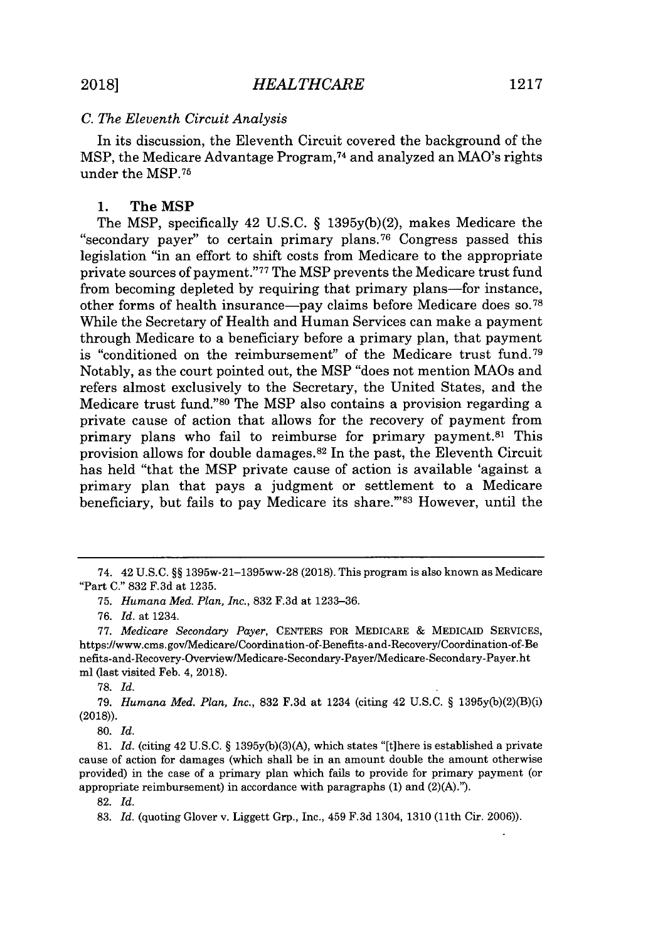#### *C. The Eleventh Circuit Analysis*

In its discussion, the Eleventh Circuit covered the background of the MSP, the Medicare Advantage Program,<sup>74</sup> and analyzed an MAO's rights under the **MSP. <sup>7</sup> 5**

#### **1.** The MSP

The MSP, specifically 42 **U.S.C. § 1395y(b)(2),** makes Medicare the "secondary payer" to certain primary plans.<sup>76</sup> Congress passed this legislation "in an effort to shift costs from Medicare to the appropriate private sources of payment."7 7 The MSP prevents the Medicare trust fund from becoming depleted **by** requiring that primary plans-for instance, other forms of health insurance-pay claims before Medicare does **so. 7 8** While the Secretary of Health and Human Services can make a payment through Medicare to a beneficiary before a primary plan, that payment is "conditioned on the reimbursement" of the Medicare trust fund.<sup>79</sup> Notably, as the court pointed out, the MSP "does not mention MAOs and refers almost exclusively to the Secretary, the United States, and the Medicare trust fund."<sup>80</sup> The MSP also contains a provision regarding a private cause of action that allows for the recovery of payment from primary plans who fail to reimburse for primary payment.<sup>81</sup> This provision allows for double damages. <sup>82</sup>In the past, the Eleventh Circuit has held "that the MSP private cause of action is available 'against a primary plan that pays a judgment or settlement to a Medicare beneficiary, but fails to pay Medicare its share."<sup>83</sup> However, until the

<sup>74. 42</sup> **U.S.C.** *§§* 1395w-21-1395ww-28 **(2018).** This program is also known as Medicare "Part **C." 832 F.3d** at **1235.**

**<sup>75.</sup>** *Humana Med. Plan, Inc.,* **832 F.3d** at **1233-36.**

*<sup>76.</sup> Id. at* 1234.

*<sup>77.</sup> Medicare Secondary Payer,* **CENTERS** FOR MEDICARE **&** MEDICAID SERVICES, https://www.cms.gov/Medicare/Coordination-of-Benefits-and-Recovery/Coordination-of-Be nefits-and-Recovery-OverviewlMedicare-Secondary-Payer/Medicare-Secondary-Payer.ht ml (last visited Feb. 4, **2018).**

**<sup>78.</sup>** *Id.*

*<sup>79.</sup> Humana Med. Plan, Inc.,* **832 F.3d** at 1234 (citing 42 **U.S.C.** *§* **1395y(b)(2)(B)(i) (2018)).**

**<sup>80.</sup>** *Id.*

**<sup>81.</sup>** *Id.* (citing 42 **U.S.C.** *§* **1395y(b)(3)(A),** which states "[tihere is established a private cause of action for damages (which shall be in an amount double the amount otherwise provided) in the case of a primary plan which fails to provide for primary payment (or appropriate reimbursement) in accordance with paragraphs **(1)** and **(2)(A).").**

**<sup>82.</sup>** *Id.*

**<sup>83.</sup>** *Id.* (quoting Glover v. Liggett Grp., Inc., 459 **F.3d** 1304, **1310** (11th Cir. **2006)).**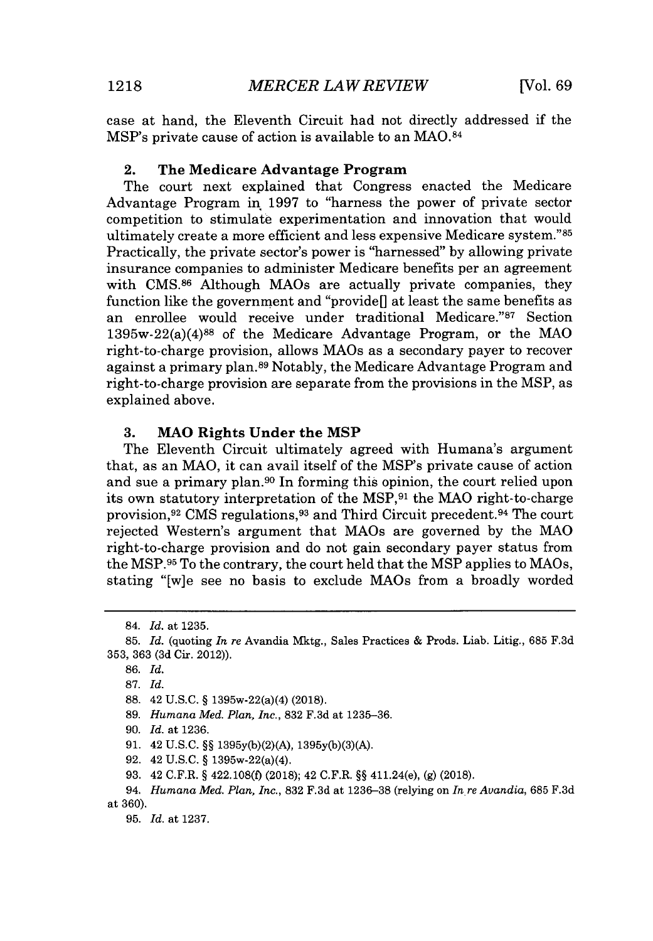case at hand, the Eleventh Circuit had not directly addressed if the MSP's private cause of action is available to an **MAO.84**

## 2. **The Medicare Advantage Program**

The court next explained that Congress enacted the Medicare Advantage Program in **1997** to "harness the power of private sector competition to stimulate experimentation and innovation that would ultimately create a more efficient and less expensive Medicare system."<sup>85</sup> Practically, the private sector's power is "harnessed" **by** allowing private insurance companies to administer Medicare benefits per an agreement with **CMS.86** Although MAOs are actually private companies, they function like the government and "provide[] at least the same benefits as an enrollee would receive under traditional Medicare."87 Section  $1395w-22(a)(4)^{88}$  of the Medicare Advantage Program, or the MAO right-to-charge provision, allows MAOs as a secondary payer to recover against a primary plan. **89** Notably, the Medicare Advantage Program and right-to-charge provision are separate from the provisions in the MSP, as explained above.

#### **3. MAO Rights Under the MSP**

The Eleventh Circuit ultimately agreed with Humana's argument that, as an MAO, it can avail itself of the MSP's private cause of action and sue a primary plan.<sup>90</sup> In forming this opinion, the court relied upon its own statutory interpretation of the MSP,<sup>91</sup> the MAO right-to-charge provision,<sup>92</sup> CMS regulations,<sup>93</sup> and Third Circuit precedent.<sup>94</sup> The court rejected Western's argument that MAOs are governed **by** the **MAO** right-to-charge provision and do not gain secondary payer status from the **MSP.96** To the contrary, the court held that the MSP applies to MAOs, stating "[w]e see no basis to exclude MAOs from a broadly worded

**92.** 42 **U.S.C. §** 1395w-22(a)(4).

<sup>84.</sup> *Id. at* **1235.**

**<sup>85.</sup>** *Id.* **(quoting** *In re* Avandia Mktg., Sales Practices **&** Prods. Liab. Litig., **685 F.3d 353, 363 (3d** Cir. 2012)).

**<sup>86.</sup>** *Id.*

**<sup>87.</sup>** *Id.*

**<sup>88.</sup>** 42 **U.S.C. §** 1395w-22(a)(4) **(2018).**

**<sup>89.</sup>** *Humana Med. Plan, Inc.,* **832 F.3d** at **1235-36.**

**<sup>90.</sup>** *Id.* at **1236.**

**<sup>91.</sup>** 42 **U.S.C. §§ 1395y(b)(2)(A), 1395y(b)(3)(A).**

**<sup>93.</sup>** 42 C.F.R. **§ 422.108(f) (2018);** 42 C.F.R. **§§** 411.24(e), **(g) (2018).**

<sup>94.</sup> *Humana Med. Plan, Inc.,* **832 F.3d** at **1236-38** (relying on *In re Avandia,* **685 F.3d** at **360).**

**<sup>95.</sup>** *Id.* **at 1237.**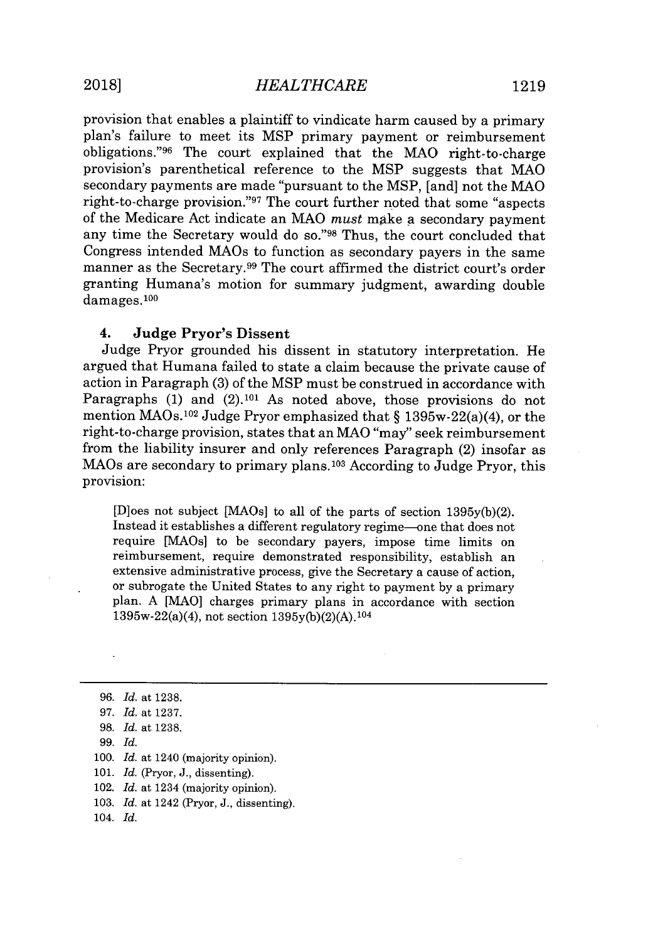provision that enables a plaintiff to vindicate harm caused **by** a primary plan's failure to meet its MSP primary payment or reimbursement obligations."<sup>96</sup> The court explained that the MAO right-to-charge provision's parenthetical reference to the MSP suggests that **MAO** secondary payments are made "pursuant to the MSP, [and] not the MAO right-to-charge provision."97 The court further noted that some "aspects" of the Medicare Act indicate an **MAO** *must* make a secondary payment any time the Secretary would do so."98 Thus, the court concluded that Congress intended MAOs to function as secondary payers in the same manner as the Secretary.<sup>99</sup> The court affirmed the district court's order granting Humana's motion for summary judgment, awarding double damages.100

# 4. Judge Pryor's Dissent

Judge Pryor grounded his dissent in statutory interpretation. He argued that Humana failed to state a claim because the private cause of action in Paragraph **(3)** of the MSP must be construed in accordance with Paragraphs (1) and (2).<sup>101</sup> As noted above, those provisions do not mention MAOs.102 Judge Pryor emphasized that *§* 1395w-22(a)(4), or the right-to-charge provision, states that an MAO "may" seek reimbursement from the liability insurer and only references Paragraph (2) insofar as MAOs are secondary to primary plans. <sup>10</sup>3 According to Judge Pryor, this provision:

[D]oes not subject [1AOs] to all of the parts of section **1395y(b)(2).** Instead it establishes a different regulatory regime-one that does not require [MAOs] to be secondary payers, impose time limits on reimbursement, require demonstrated responsibility, establish an extensive administrative process, give the Secretary a cause of action, or subrogate the United States to any right to payment **by** a primary plan. **A [MAO]** charges primary plans in accordance with section 1395w-22(a)(4), not section **1395y(b)(2)(A). <sup>104</sup>**

- *99. Id.*
- **100.** *Id.* at 1240 (majority opinion).
- **101.** *Id.* (Pryor, **J.,** dissenting).
- 102. *Id.* at 1234 (majority opinion).
- **103.** *Id.* at 1242 (Pryor, **J.,** dissenting).
- 104. *Id.*

*<sup>96.</sup> Id.* at **1238.**

*<sup>97.</sup> Id.* at **1237.**

**<sup>98.</sup>** *Id.* at **1238.**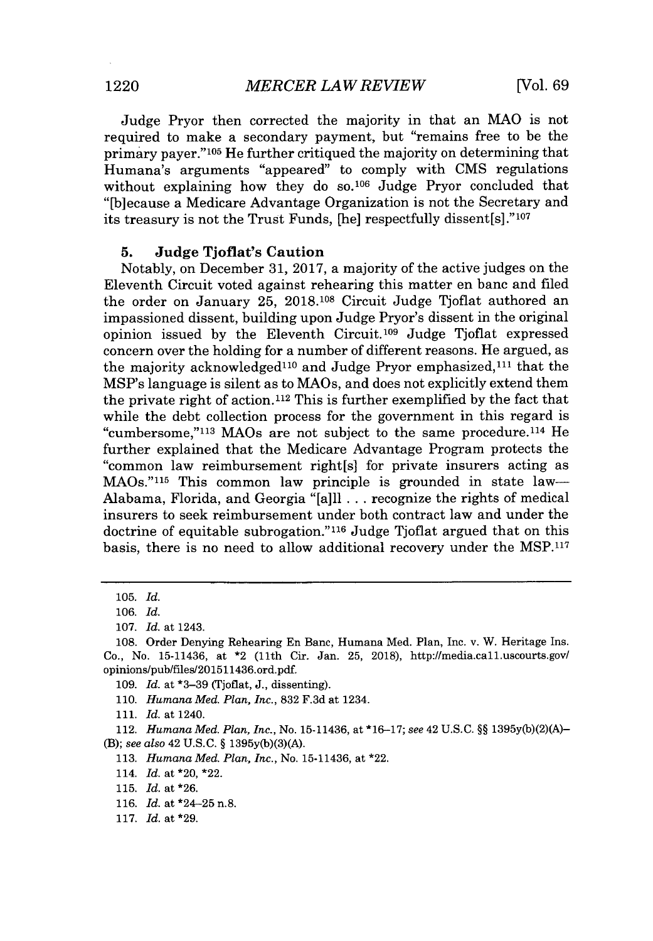Judge Pryor then corrected the majority in that an MAO is not required to make a secondary payment, but "remains free to be the primary payer."<sup>105</sup> He further critiqued the majority on determining that Humana's arguments "appeared" to comply with **CMS** regulations without explaining how they do **so.106** Judge Pryor concluded that "[b]ecause a Medicare Advantage Organization is not the Secretary and its treasury is not the Trust Funds, [he] respectfully dissent[s]."<sup>107</sup>

#### **5. Judge Tjoflat's Caution**

Notably, on December **31, 2017, a** majority of the active judges on the Eleventh Circuit voted against rehearing this matter en banc and filed the order on January **25, 2018.108** Circuit Judge Tjoflat authored an impassioned dissent, building upon Judge Pryor's dissent in the original opinion issued by the Eleventh Circuit.<sup>109</sup> Judge Tioflat expressed concern over the holding for a number of different reasons. He argued, as the majority acknowledged<sup>110</sup> and Judge Pryor emphasized,<sup>111</sup> that the MSP's language is silent as to MAOs, and does not explicitly extend them the private right of action. **112** This is further exemplified **by** the fact that while the debt collection process for the government in this regard is "cumbersome,"<sup>113</sup> MAOs are not subject to the same procedure.<sup>114</sup> He further explained that the Medicare Advantage Program protects the "common law reimbursement right[s] for private insurers acting as  $\text{MAOs.}$ "<sup>115</sup> This common law principle is grounded in state law-Alabama, Florida, and Georgia "[a]ll **...** recognize the rights of medical insurers to seek reimbursement under both contract law and under the doctrine of equitable subrogation."<sup>116</sup> Judge Tjoflat argued that on this basis, there is no need to allow additional recovery under the **MSP.11 <sup>7</sup>**

**109.** *Id.* at **\*3-39** (Tjoflat, **J.,** dissenting).

*111. Id.* at 1240.

112. *Humana Med. Plan, Inc.,* No. **15-11436,** at **\*16-17;** see 42 **U.S.C. §§ 1395y(b)(2)(A)-** *(B); see also* 42 **U.S.C. § 1395y(b)(3)(A).**

**113.** *Humana Med. Plan, Inc.,* No. **15-11436,** at \*22.

114. *Id.* at \*20, \*22.

**116.** *Id.* at \*24-25 n.8.

**117.** Id. at **\*29.**

**<sup>105.</sup>** *Id.*

**<sup>106.</sup>** *Id.*

**<sup>107.</sup>** *Id.* at 1243.

**<sup>108.</sup>** Order Denying Rehearing En Banc, Humana Med. Plan, Inc. v. W. Heritage Ins. Co., No. **15-11436,** at \*2 (11th Cir. Jan. **25, 2018),** http://media.call.uscourts.gov/ opinions/pub/files/201511436.ord.pdf.

**<sup>110.</sup>** *Humana Med. Plan, Inc.,* **832 F.3d** at 1234.

**<sup>115.</sup>** *Id.* at **\*26.**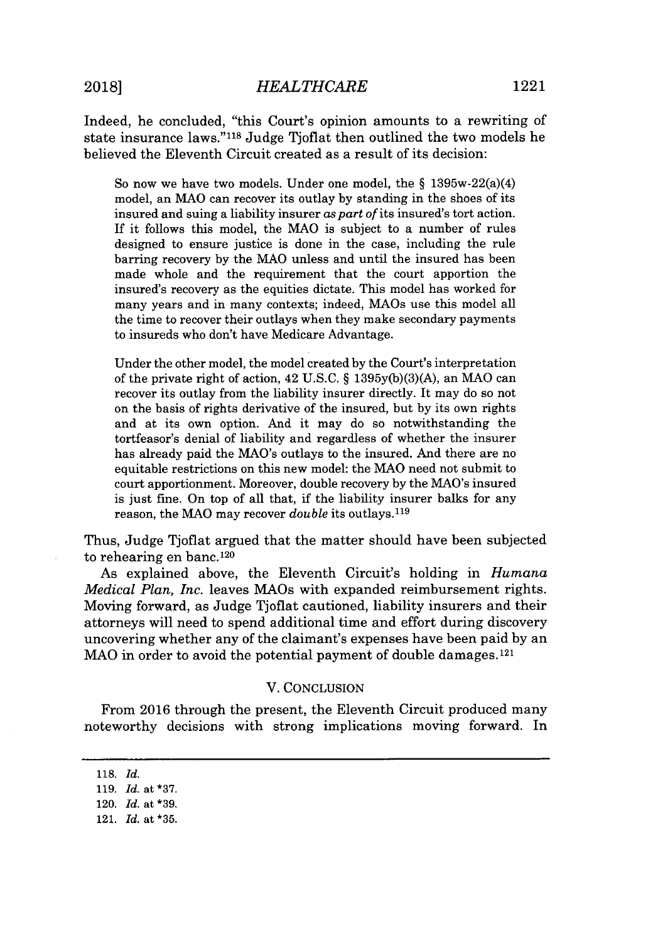Indeed, he concluded, "this Court's opinion amounts to a rewriting of state insurance laws."<sup>118</sup> Judge Tjoflat then outlined the two models he believed the Eleventh Circuit created as a result of its decision:

So now we have two models. Under one model, the *§* 1395w-22(a)(4) model, an MAO can recover its outlay **by** standing in the shoes of its insured and suing a liability insurer *as part of* its insured's tort action. **If** it follows this model, the MAO is subject to a number of rules designed to ensure justice is done in the case, including the rule barring recovery **by** the **MAO** unless and until the insured has been made whole and the requirement that the court apportion the insured's recovery as the equities dictate. This model has worked for many years and in many contexts; indeed, MAOs use this model all the time to recover their outlays when they make secondary payments to insureds who don't have Medicare Advantage.

Under the other model, the model created **by** the Court's interpretation of the private right of action, 42 **U.S.C.** *§* **1395y(b)(3)(A),** an MAO can recover its outlay from the liability insurer directly. It may do so not on the basis of rights derivative of the insured, but **by** its own rights and at its own option. And it may do so notwithstanding the tortfeasor's denial of liability and regardless of whether the insurer has already paid the MAO's outlays to the insured. And there are no equitable restrictions on this new model: the MAO need not submit to court apportionment. Moreover, double recovery **by** the MAO's insured is just fine. On top of all that, if the liability insurer balks for any reason, the MAO may recover *double* its outlays. <sup>119</sup>

Thus, Judge Tjoflat argued that the matter should have been subjected to rehearing en banc.1<sup>20</sup>

As explained above, the Eleventh Circuit's holding in *Humana Medical Plan, Inc.* leaves MAOs with expanded reimbursement rights. Moving forward, as Judge Tjoflat cautioned, liability insurers and their attorneys will need to spend additional time and effort during discovery uncovering whether any of the claimant's expenses have been paid **by** an MAO in order to avoid the potential payment of double damages.<sup>121</sup>

#### V. **CONCLUSION**

From **2016** through the present, the Eleventh Circuit produced many noteworthy decisions with strong implications moving forward. In

**<sup>118.</sup>** *Id.*

**<sup>119.</sup>** *Id.* **at \*37.**

<sup>120.</sup> *Id.* **at \*39.**

<sup>121.</sup> Id. at \*35.